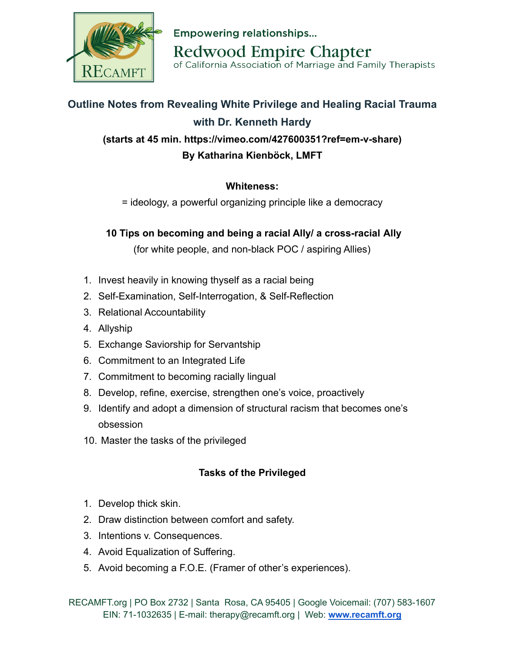

**Empowering relationships... Redwood Empire Chapter** of California Association of Marriage and Family Therapists

## **Outline Notes from Revealing White Privilege and Healing Racial Trauma with Dr. Kenneth Hardy (starts at 45 min. https://vimeo.com/427600351?ref=em-v-share) By Katharina Kienböck, LMFT**

## **Whiteness:**

= ideology, a powerful organizing principle like a democracy

## **10 Tips on becoming and being a racial Ally/ a cross-racial Ally**

(for white people, and non-black POC / aspiring Allies)

- 1. Invest heavily in knowing thyself as a racial being
- 2. Self-Examination, Self-Interrogation, & Self-Reflection
- 3. Relational Accountability
- 4. Allyship
- 5. Exchange Saviorship for Servantship
- 6. Commitment to an Integrated Life
- 7. Commitment to becoming racially lingual
- 8. Develop, refine, exercise, strengthen one's voice, proactively
- 9. Identify and adopt a dimension of structural racism that becomes one's obsession
- 10. Master the tasks of the privileged

## **Tasks of the Privileged**

- 1. Develop thick skin.
- 2. Draw distinction between comfort and safety.
- 3. Intentions v. Consequences.
- 4. Avoid Equalization of Suffering.
- 5. Avoid becoming a F.O.E. (Framer of other's experiences).

RECAMFT.org | PO Box 2732 | Santa Rosa, CA 95405 | Google Voicemail: (707) 583-1607 EIN: 71-1032635 | E-mail: therapy@recamft.org | Web: **[www.recamft.org](http://recamft.org/)**